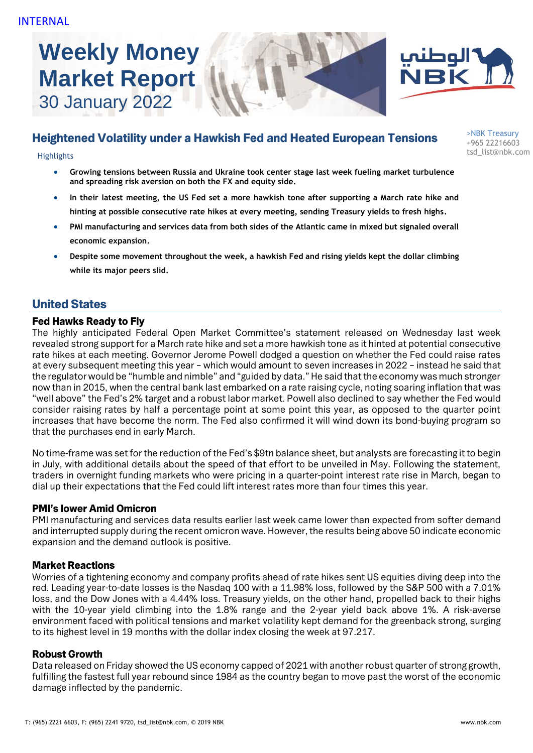**Weekly Money Market Report** 30 January 2022





# Heightened Volatility under a Hawkish Fed and Heated European Tensions

tsd\_list@nbk.com Highlights

- **Growing tensions between Russia and Ukraine took center stage last week fueling market turbulence and spreading risk aversion on both the FX and equity side.**
- **In their latest meeting, the US Fed set a more hawkish tone after supporting a March rate hike and hinting at possible consecutive rate hikes at every meeting, sending Treasury yields to fresh highs.**
- **PMI manufacturing and services data from both sides of the Atlantic came in mixed but signaled overall economic expansion.**
- **Despite some movement throughout the week, a hawkish Fed and rising yields kept the dollar climbing while its major peers slid.**

# United States

### Fed Hawks Ready to Fly

The highly anticipated Federal Open Market Committee's statement released on Wednesday last week revealed strong support for a March rate hike and set a more hawkish tone as it hinted at potential consecutive rate hikes at each meeting. Governor Jerome Powell dodged a question on whether the Fed could raise rates at every subsequent meeting this year – which would amount to seven increases in 2022 – instead he said that the regulator would be "humble and nimble" and "guided by data." He said that the economy was much stronger now than in 2015, when the central bank last embarked on a rate raising cycle, noting soaring inflation that was "well above" the Fed's 2% target and a robust labor market. Powell also declined to say whether the Fed would consider raising rates by half a percentage point at some point this year, as opposed to the quarter point increases that have become the norm. The Fed also confirmed it will wind down its bond-buying program so that the purchases end in early March.

No time-frame was set for the reduction of the Fed's \$9tn balance sheet, but analysts are forecasting it to begin in July, with additional details about the speed of that effort to be unveiled in May. Following the statement, traders in overnight funding markets who were pricing in a quarter-point interest rate rise in March, began to dial up their expectations that the Fed could lift interest rates more than four times this year.

#### PMI's lower Amid Omicron

PMI manufacturing and services data results earlier last week came lower than expected from softer demand and interrupted supply during the recent omicron wave. However, the results being above 50 indicate economic expansion and the demand outlook is positive.

#### Market Reactions

Worries of a tightening economy and company profits ahead of rate hikes sent US equities diving deep into the red. Leading year-to-date losses is the Nasdaq 100 with a 11.98% loss, followed by the S&P 500 with a 7.01% loss, and the Dow Jones with a 4.44% loss. Treasury yields, on the other hand, propelled back to their highs with the 10-year yield climbing into the 1.8% range and the 2-year yield back above 1%. A risk-averse environment faced with political tensions and market volatility kept demand for the greenback strong, surging to its highest level in 19 months with the dollar index closing the week at 97.217.

### Robust Growth

Data released on Friday showed the US economy capped of 2021 with another robust quarter of strong growth, fulfilling the fastest full year rebound since 1984 as the country began to move past the worst of the economic damage inflected by the pandemic.

>NBK Treasury +965 22216603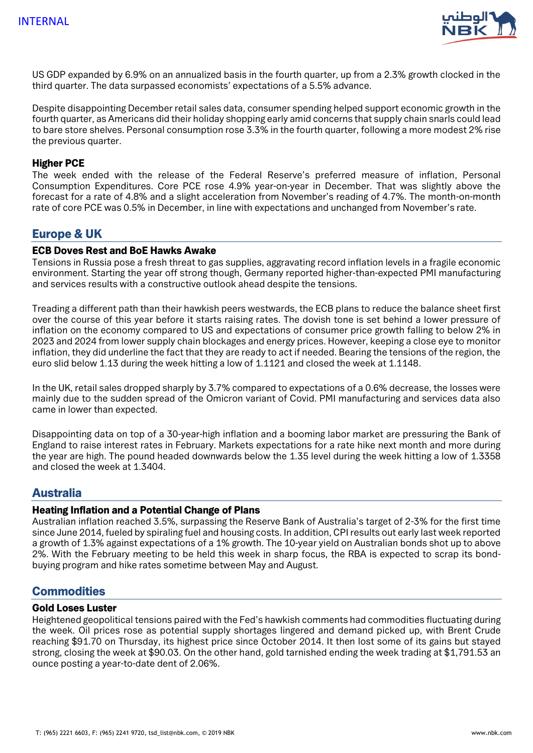

US GDP expanded by 6.9% on an annualized basis in the fourth quarter, up from a 2.3% growth clocked in the third quarter. The data surpassed economists' expectations of a 5.5% advance.

Despite disappointing December retail sales data, consumer spending helped support economic growth in the fourth quarter, as Americans did their holiday shopping early amid concerns that supply chain snarls could lead to bare store shelves. Personal consumption rose 3.3% in the fourth quarter, following a more modest 2% rise the previous quarter.

#### Higher PCE

The week ended with the release of the Federal Reserve's preferred measure of inflation, Personal Consumption Expenditures. Core PCE rose 4.9% year-on-year in December. That was slightly above the forecast for a rate of 4.8% and a slight acceleration from November's reading of 4.7%. The month-on-month rate of core PCE was 0.5% in December, in line with expectations and unchanged from November's rate.

# Europe & UK

#### ECB Doves Rest and BoE Hawks Awake

Tensions in Russia pose a fresh threat to gas supplies, aggravating record inflation levels in a fragile economic environment. Starting the year off strong though, Germany reported higher-than-expected PMI manufacturing and services results with a constructive outlook ahead despite the tensions.

Treading a different path than their hawkish peers westwards, the ECB plans to reduce the balance sheet first over the course of this year before it starts raising rates. The dovish tone is set behind a lower pressure of inflation on the economy compared to US and expectations of consumer price growth falling to below 2% in 2023 and 2024 from lower supply chain blockages and energy prices. However, keeping a close eye to monitor inflation, they did underline the fact that they are ready to act if needed. Bearing the tensions of the region, the euro slid below 1.13 during the week hitting a low of 1.1121 and closed the week at 1.1148.

In the UK, retail sales dropped sharply by 3.7% compared to expectations of a 0.6% decrease, the losses were mainly due to the sudden spread of the Omicron variant of Covid. PMI manufacturing and services data also came in lower than expected.

Disappointing data on top of a 30-year-high inflation and a booming labor market are pressuring the Bank of England to raise interest rates in February. Markets expectations for a rate hike next month and more during the year are high. The pound headed downwards below the 1.35 level during the week hitting a low of 1.3358 and closed the week at 1.3404.

### Australia

#### Heating Inflation and a Potential Change of Plans

Australian inflation reached 3.5%, surpassing the Reserve Bank of Australia's target of 2-3% for the first time since June 2014, fueled by spiraling fuel and housing costs. In addition, CPI results out early last week reported a growth of 1.3% against expectations of a 1% growth. The 10-year yield on Australian bonds shot up to above 2%. With the February meeting to be held this week in sharp focus, the RBA is expected to scrap its bondbuying program and hike rates sometime between May and August.

# **Commodities**

#### Gold Loses Luster

Heightened geopolitical tensions paired with the Fed's hawkish comments had commodities fluctuating during the week. Oil prices rose as potential supply shortages lingered and demand picked up, with Brent Crude reaching \$91.70 on Thursday, its highest price since October 2014. It then lost some of its gains but stayed strong, closing the week at \$90.03. On the other hand, gold tarnished ending the week trading at \$1,791.53 an ounce posting a year-to-date dent of 2.06%.